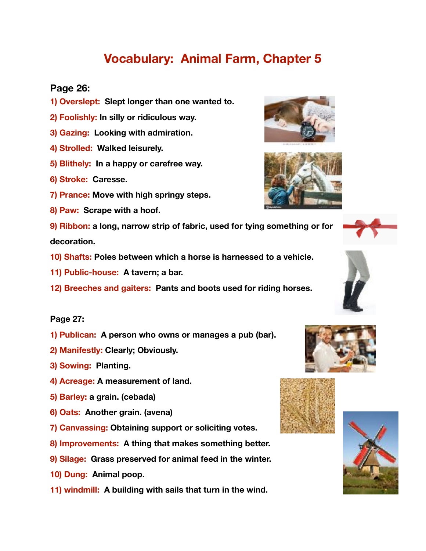# **Vocabulary: Animal Farm, Chapter 5**

# **Page 26:**

- **1) Overslept: Slept longer than one wanted to.**
- **2) Foolishly: In silly or ridiculous way.**
- **3) Gazing: Looking with admiration.**
- **4) Strolled: Walked leisurely.**
- **5) Blithely: In a happy or carefree way.**
- **6) Stroke: Caresse.**
- **7) Prance: Move with high springy steps.**
- **8) Paw: Scrape with a hoof.**

**9) Ribbon: a long, narrow strip of fabric, used for tying something or for decoration.** 

- **10) Shafts: Poles between which a horse is harnessed to a vehicle.**
- **11) Public-house: A tavern; a bar.**
- **12) Breeches and gaiters: Pants and boots used for riding horses.**

# **Page 27:**

- **1) Publican: A person who owns or manages a pub (bar).**
- **2) Manifestly: Clearly; Obviously.**
- **3) Sowing: Planting.**
- **4) Acreage: A measurement of land.**
- **5) Barley: a grain. (cebada)**
- **6) Oats: Another grain. (avena)**
- **7) Canvassing: Obtaining support or soliciting votes.**
- **8) Improvements: A thing that makes something better.**
- **9) Silage: Grass preserved for animal feed in the winter.**
- **10) Dung: Animal poop.**
- **11) windmill: A building with sails that turn in the wind.**











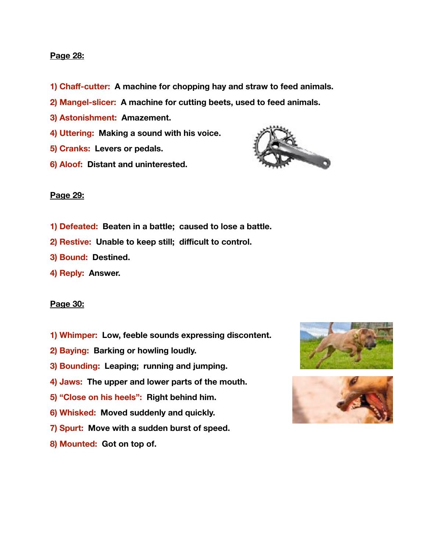#### **Page 28:**

- **1) Chaff-cutter: A machine for chopping hay and straw to feed animals.**
- **2) Mangel-slicer: A machine for cutting beets, used to feed animals.**
- **3) Astonishment: Amazement.**
- **4) Uttering: Making a sound with his voice.**
- **5) Cranks: Levers or pedals.**
- **6) Aloof: Distant and uninterested.**



#### **Page 29:**

- **1) Defeated: Beaten in a battle; caused to lose a battle.**
- **2) Restive: Unable to keep still; difficult to control.**
- **3) Bound: Destined.**
- **4) Reply: Answer.**

## **Page 30:**

- **1) Whimper: Low, feeble sounds expressing discontent.**
- **2) Baying: Barking or howling loudly.**
- **3) Bounding: Leaping; running and jumping.**
- **4) Jaws: The upper and lower parts of the mouth.**
- **5) "Close on his heels": Right behind him.**
- **6) Whisked: Moved suddenly and quickly.**
- **7) Spurt: Move with a sudden burst of speed.**
- **8) Mounted: Got on top of.**